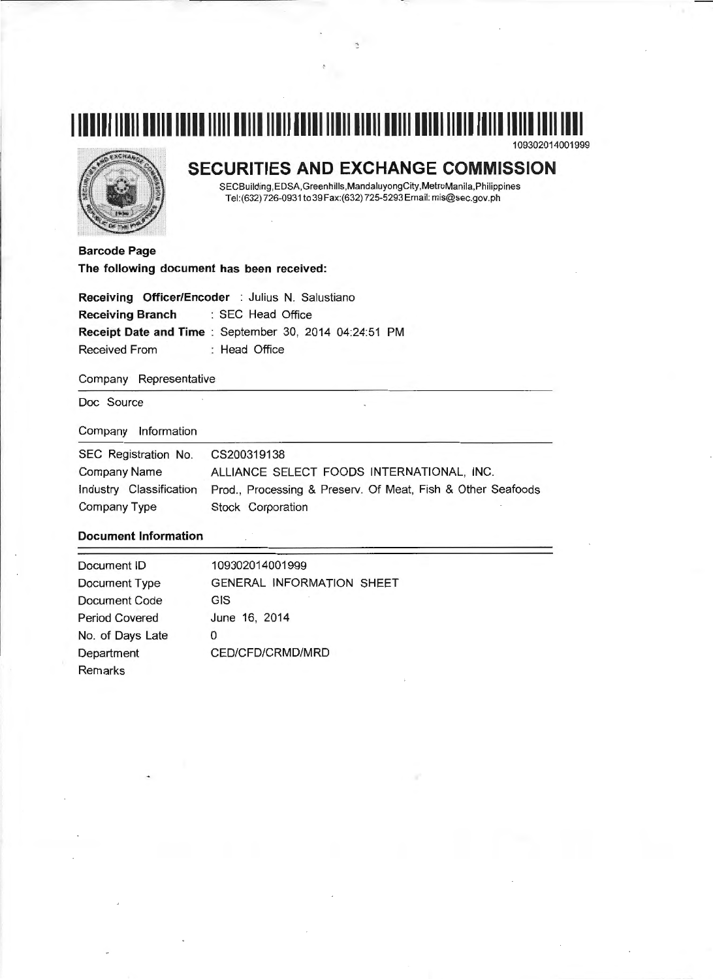# **1111111111111111111111111111111111111111111111111111111111111111111111111111111111111**  109302014001999



# **SECURITIES AND EXCHANGE COMMISSION**

SECBuilding,EDSA,Greenhills,MandaluyongCity,MetroManila,Philippines Tel:(632) 726-0931 to 39 Fax:(632) 725-5293 Email: mis@sec.gov.ph

**Barcode Page The following document has been received:** 

|                                    | Receiving Officer/Encoder : Julius N. Salustiano       |
|------------------------------------|--------------------------------------------------------|
| Receiving Branch : SEC Head Office |                                                        |
|                                    | Receipt Date and Time : September 30, 2014 04:24:51 PM |
| Received From                      | : Head Office                                          |

#### Company Representative

Doc Source

#### Company Information

| SEC Registration No. | CS200319138                                                                         |
|----------------------|-------------------------------------------------------------------------------------|
| <b>Company Name</b>  | ALLIANCE SELECT FOODS INTERNATIONAL, INC.                                           |
|                      | Industry Classification Prod., Processing & Preserv. Of Meat, Fish & Other Seafoods |
| Company Type         | Stock Corporation                                                                   |

### **Document Information**

| Document ID           | 109302014001999                  |
|-----------------------|----------------------------------|
| Document Type         | <b>GENERAL INFORMATION SHEET</b> |
| Document Code         | <b>GIS</b>                       |
| <b>Period Covered</b> | June 16, 2014                    |
| No. of Days Late      | O                                |
| Department            | CED/CFD/CRMD/MRD                 |
| Remarks               |                                  |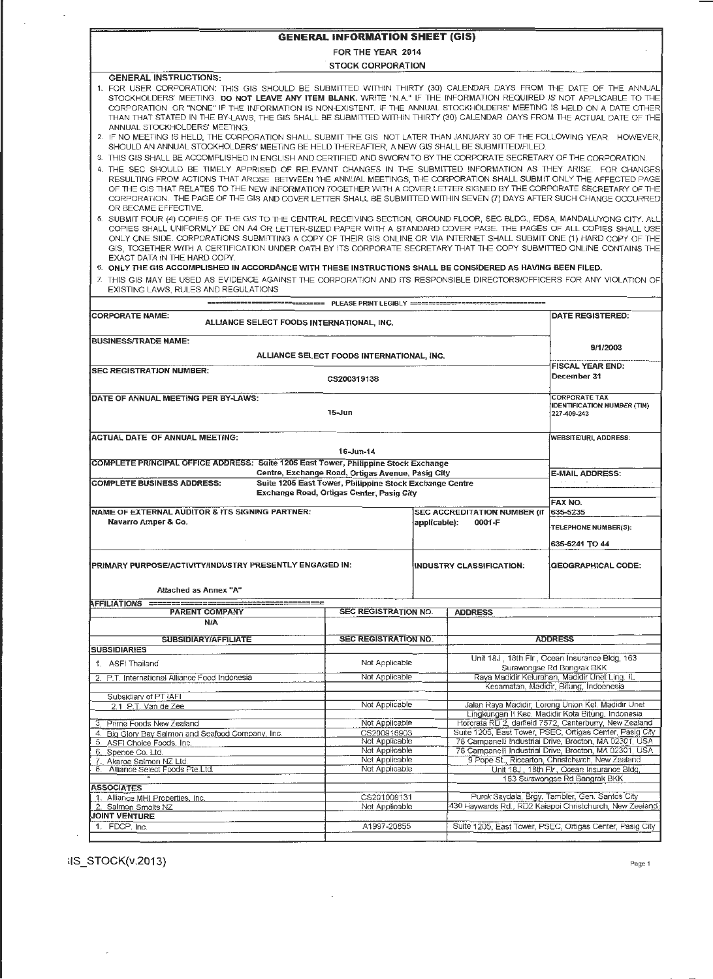| <b>GENERAL INFORMATION SHEET (GIS)</b>                                                                                                                                                                                                                                                                                                                                                                                                                                                                                                                            |                                                                            |                                                                                                                    |                              |                                                                             |  |  |  |  |  |  |
|-------------------------------------------------------------------------------------------------------------------------------------------------------------------------------------------------------------------------------------------------------------------------------------------------------------------------------------------------------------------------------------------------------------------------------------------------------------------------------------------------------------------------------------------------------------------|----------------------------------------------------------------------------|--------------------------------------------------------------------------------------------------------------------|------------------------------|-----------------------------------------------------------------------------|--|--|--|--|--|--|
| FOR THE YEAR 2014                                                                                                                                                                                                                                                                                                                                                                                                                                                                                                                                                 |                                                                            |                                                                                                                    |                              |                                                                             |  |  |  |  |  |  |
|                                                                                                                                                                                                                                                                                                                                                                                                                                                                                                                                                                   | <b>STOCK CORPORATION</b>                                                   |                                                                                                                    |                              |                                                                             |  |  |  |  |  |  |
| <b>GENERAL INSTRUCTIONS:</b><br>1. FOR USER CORPORATION: THIS GIS SHOULD BE SUBMITTED WITHIN THIRTY (30) CALENDAR DAYS FROM THE DATE OF THE ANNUAL<br>STOCKHOLDERS' MEETING. DO NOT LEAVE ANY ITEM BLANK. WRITE "N.A." IF THE INFORMATION REQUIRED IS NOT APPLICABLE TO THE<br>CORPORATION OR "NONE" IF THE INFORMATION IS NON-EXISTENT. IF THE ANNUAL STOCKHOLDERS' MEETING IS HELD ON A DATE OTHER<br>THAN THAT STATED IN THE BY-LAWS, THE GIS SHALL BE SUBMITTED WITHIN THIRTY (30) CALENDAR DAYS FROM THE ACTUAL DATE OF THE<br>ANNUAL STOCKHOLDERS' MEETING. |                                                                            |                                                                                                                    |                              |                                                                             |  |  |  |  |  |  |
| 2. IF NO MEETING IS HELD, THE CORPORATION SHALL SUBMIT THE GIS NOT LATER THAN JANUARY 30 OF THE FOLLOWING YEAR. HOWEVER,<br>SHOULD AN ANNUAL STOCKHOLDERS' MEETING BE HELD THEREAFTER, A NEW GIS SHALL BE SUBMITTED/FILED.<br>3. THIS GIS SHALL BE ACCOMPLISHED IN ENGLISH AND CERTIFIED AND SWORN TO BY THE CORPORATE SECRETARY OF THE CORPORATION.                                                                                                                                                                                                              |                                                                            |                                                                                                                    |                              |                                                                             |  |  |  |  |  |  |
| 4. THE SEC SHOULD BE TIMELY APPRISED OF RELEVANT CHANGES IN THE SUBMITTED INFORMATION AS THEY ARISE. FOR CHANGES<br>RESULTING FROM ACTIONS THAT AROSE BETWEEN THE ANNUAL MEETINGS, THE CORPORATION SHALL SUBMIT ONLY THE AFFECTED PAGE<br>OF THE GIS THAT RELATES TO THE NEW INFORMATION TOGETHER WITH A COVER LETTER SIGNED BY THE CORPORATE SECRETARY OF THE<br>CORPORATION. THE PAGE OF THE GIS AND COVER LETTER SHALL BE SUBMITTED WITHIN SEVEN (7) DAYS AFTER SUCH CHANGE OCCURRED<br>OR BECAME EFFECTIVE.                                                   |                                                                            |                                                                                                                    |                              |                                                                             |  |  |  |  |  |  |
| 5. SUBMIT FOUR (4) COPIES OF THE GIS TO THE CENTRAL RECEIVING SECTION, GROUND FLOOR, SEC BLDG., EDSA, MANDALUYONG CITY. ALL<br>COPIES SHALL UNIFORMLY BE ON A4 OR LETTER-SIZED PAPER WITH A STANDARD COVER PAGE. THE PAGES OF ALL COPIES SHALL USE<br>ONLY ONE SIDE, CORPORATIONS SUBMITTING A COPY OF THEIR GIS ONLINE OR VIA INTERNET SHALL SUBMIT ONE (1) HARD COPY OF THE<br>GIS. TOGETHER WITH A CERTIFICATION UNDER OATH BY ITS CORPORATE SECRETARY THAT THE COPY SUBMITTED ONLINE CONTAINS THE<br>EXACT DATA IN THE HARD COPY.                             |                                                                            |                                                                                                                    |                              |                                                                             |  |  |  |  |  |  |
| 6. ONLY THE GIS ACCOMPLISHED IN ACCORDANCE WITH THESE INSTRUCTIONS SHALL BE CONSIDERED AS HAVING BEEN FILED.<br>7. THIS GIS MAY BE USED AS EVIDENCE AGAINST THE CORPORATION AND ITS RESPONSIBLE DIRECTORS/OFFICERS FOR ANY VIOLATION OF<br>EXISTING LAWS, RULES AND REGULATIONS                                                                                                                                                                                                                                                                                   |                                                                            |                                                                                                                    |                              |                                                                             |  |  |  |  |  |  |
|                                                                                                                                                                                                                                                                                                                                                                                                                                                                                                                                                                   |                                                                            |                                                                                                                    |                              |                                                                             |  |  |  |  |  |  |
| <b>CORPORATE NAME:</b><br>ALLIANCE SELECT FOODS INTERNATIONAL, INC.                                                                                                                                                                                                                                                                                                                                                                                                                                                                                               |                                                                            |                                                                                                                    |                              | DATE REGISTERED:                                                            |  |  |  |  |  |  |
| <b>BUSINESS/TRADE NAME:</b>                                                                                                                                                                                                                                                                                                                                                                                                                                                                                                                                       | ALLIANCE SELECT FOODS INTERNATIONAL, INC.                                  |                                                                                                                    |                              | 9/1/2003                                                                    |  |  |  |  |  |  |
| <b>SEC REGISTRATION NUMBER:</b>                                                                                                                                                                                                                                                                                                                                                                                                                                                                                                                                   |                                                                            |                                                                                                                    |                              | <b>FISCAL YEAR END:</b>                                                     |  |  |  |  |  |  |
|                                                                                                                                                                                                                                                                                                                                                                                                                                                                                                                                                                   | CS200319138                                                                |                                                                                                                    |                              | December 31                                                                 |  |  |  |  |  |  |
| DATE OF ANNUAL MEETING PER BY-LAWS:                                                                                                                                                                                                                                                                                                                                                                                                                                                                                                                               | 15-Jun                                                                     |                                                                                                                    |                              | <b>CORPORATE TAX</b><br><b>IDENTIFICATION NUMBER (TIN)</b><br>227-409-243   |  |  |  |  |  |  |
| <b>ACTUAL DATE OF ANNUAL MEETING:</b>                                                                                                                                                                                                                                                                                                                                                                                                                                                                                                                             |                                                                            |                                                                                                                    |                              | <b>WEBSITE/URL ADDRESS:</b>                                                 |  |  |  |  |  |  |
|                                                                                                                                                                                                                                                                                                                                                                                                                                                                                                                                                                   | 16-Jun-14                                                                  |                                                                                                                    |                              |                                                                             |  |  |  |  |  |  |
| COMPLETE PRINCIPAL OFFICE ADDRESS: Suite 1205 East Tower, Philippine Stock Exchange                                                                                                                                                                                                                                                                                                                                                                                                                                                                               | Centre, Exchange Road, Ortigas Avenue, Pasig City                          |                                                                                                                    |                              | <b>E-MAIL ADDRESS:</b>                                                      |  |  |  |  |  |  |
| <b>COMPLETE BUSINESS ADDRESS:</b>                                                                                                                                                                                                                                                                                                                                                                                                                                                                                                                                 | Suite 1205 East Tower, Philippine Stock Exchange Centre                    |                                                                                                                    |                              |                                                                             |  |  |  |  |  |  |
|                                                                                                                                                                                                                                                                                                                                                                                                                                                                                                                                                                   | Exchange Road, Ortigas Center, Pasig City                                  |                                                                                                                    |                              | FAX NO.                                                                     |  |  |  |  |  |  |
| NAME OF EXTERNAL AUDITOR & ITS SIGNING PARTNER:                                                                                                                                                                                                                                                                                                                                                                                                                                                                                                                   |                                                                            |                                                                                                                    | SEC ACCREDITATION NUMBER (if | 635-5235                                                                    |  |  |  |  |  |  |
| Navarro Amper & Co.                                                                                                                                                                                                                                                                                                                                                                                                                                                                                                                                               |                                                                            | applicable):                                                                                                       | 0001-F                       | TELEPHONE NUMBER(S):                                                        |  |  |  |  |  |  |
|                                                                                                                                                                                                                                                                                                                                                                                                                                                                                                                                                                   |                                                                            |                                                                                                                    |                              | 635-5241 TO 44                                                              |  |  |  |  |  |  |
| PRIMARY PURPOSE/ACTIVITY/INDUSTRY PRESENTLY ENGAGED IN:                                                                                                                                                                                                                                                                                                                                                                                                                                                                                                           |                                                                            |                                                                                                                    | INDUSTRY CLASSIFICATION:     | <b>GEOGRAPHICAL CODE:</b>                                                   |  |  |  |  |  |  |
| Attached as Annex "A"                                                                                                                                                                                                                                                                                                                                                                                                                                                                                                                                             |                                                                            |                                                                                                                    |                              |                                                                             |  |  |  |  |  |  |
| AFFILIATIONS ===============<br><u>wa mwana wa mwana mwana mwan</u><br><b>PARENT COMPANY</b>                                                                                                                                                                                                                                                                                                                                                                                                                                                                      | <b>SEC REGISTRATION NO.</b>                                                |                                                                                                                    | <b>ADDRESS</b>               |                                                                             |  |  |  |  |  |  |
| <b>N/A</b>                                                                                                                                                                                                                                                                                                                                                                                                                                                                                                                                                        |                                                                            |                                                                                                                    |                              |                                                                             |  |  |  |  |  |  |
| SUBSIDIARY/AFFILIATE<br><b>SUBSIDIARIES</b>                                                                                                                                                                                                                                                                                                                                                                                                                                                                                                                       | <b>SEC REGISTRATION NO.</b>                                                |                                                                                                                    |                              | <b>ADDRESS</b>                                                              |  |  |  |  |  |  |
| 1. ASFI Thailand                                                                                                                                                                                                                                                                                                                                                                                                                                                                                                                                                  | Not Applicable                                                             |                                                                                                                    |                              | Unit 18J, 18th Flr, Ocean Insurance Bldg, 163                               |  |  |  |  |  |  |
| 2. P.T. International Alliance Food Indonesia                                                                                                                                                                                                                                                                                                                                                                                                                                                                                                                     | Surawongse Rd Bangrak BKK<br>Raya Madidir Kelurahan, Madidir Unet Ling. IL |                                                                                                                    |                              |                                                                             |  |  |  |  |  |  |
| Not Applicable<br>Kecamatan, Madidir, Bitung, Indoenesia                                                                                                                                                                                                                                                                                                                                                                                                                                                                                                          |                                                                            |                                                                                                                    |                              |                                                                             |  |  |  |  |  |  |
| Subsidiary of PT IAFI<br>Jalan Raya Madidir, Lorong Union Kel. Madidir Unet<br>Not Applicable<br>2.1 P.T. Van de Zee<br>Lingkungan II Kec. Madidir Kota Bitung, Indonesia                                                                                                                                                                                                                                                                                                                                                                                         |                                                                            |                                                                                                                    |                              |                                                                             |  |  |  |  |  |  |
| 3. Prime Foods New Zealand                                                                                                                                                                                                                                                                                                                                                                                                                                                                                                                                        |                                                                            | Hororata RD 2, danield 7572, Canterburry, New Zealand                                                              |                              |                                                                             |  |  |  |  |  |  |
| 4. Big Glory Bay Salmon and Seafood Company, Inc.                                                                                                                                                                                                                                                                                                                                                                                                                                                                                                                 |                                                                            | Suite 1205, East Tower, PSEC, Ortigas Center, Pasig City<br>78 Campanelli Industrial Drive, Brocton, MA 02301, USA |                              |                                                                             |  |  |  |  |  |  |
| 5. ASFI Choice Foods, Inc.<br>6. Spence Co. Ltd.                                                                                                                                                                                                                                                                                                                                                                                                                                                                                                                  |                                                                            | 78 Campanelli Industrial Drive, Brocton, MA 02301, USA                                                             |                              |                                                                             |  |  |  |  |  |  |
| Akaroa Salmon NZ Ltd.<br>7.                                                                                                                                                                                                                                                                                                                                                                                                                                                                                                                                       | Not Applicable<br>Not Applicable                                           |                                                                                                                    |                              | 9 Pope St., Riccarton, Christchurch, New Zealand                            |  |  |  |  |  |  |
| Alliance Select Foods Pte.Ltd.<br>8.                                                                                                                                                                                                                                                                                                                                                                                                                                                                                                                              | Not Applicable                                                             |                                                                                                                    |                              | Unit 18J, 18th Flr., Ocean Insurance Bldg,<br>163 Surawongse Rd Bangrak BKK |  |  |  |  |  |  |
| <b>ASSOCIATES</b>                                                                                                                                                                                                                                                                                                                                                                                                                                                                                                                                                 |                                                                            |                                                                                                                    |                              |                                                                             |  |  |  |  |  |  |
| 1. Alliance MHI Properties, Inc.                                                                                                                                                                                                                                                                                                                                                                                                                                                                                                                                  |                                                                            |                                                                                                                    |                              |                                                                             |  |  |  |  |  |  |
|                                                                                                                                                                                                                                                                                                                                                                                                                                                                                                                                                                   | CS201009131                                                                |                                                                                                                    |                              | Purok Saydala, Brgy. Tambler, Gen. Santos City                              |  |  |  |  |  |  |
| 2. Salmon Smolts NZ                                                                                                                                                                                                                                                                                                                                                                                                                                                                                                                                               | Not Applicable                                                             |                                                                                                                    |                              | 430 Haywards Rd., RD2 Kaiapoi Christchurch, New Zealand                     |  |  |  |  |  |  |
| <b>JOINT VENTURE</b><br>1. FDCP, Inc.                                                                                                                                                                                                                                                                                                                                                                                                                                                                                                                             | A1997-20855                                                                |                                                                                                                    |                              | Suite 1205, East Tower, PSEC, Ortigas Center, Pasig City                    |  |  |  |  |  |  |

 $\mathcal{A}^{\mathcal{A}}_{\mathcal{A}}$  and  $\mathcal{A}^{\mathcal{A}}_{\mathcal{A}}$ 

 $i$ i $S_S$ TOCK(v.2013) Page 1

 $\hat{\mathcal{E}}$ 

·.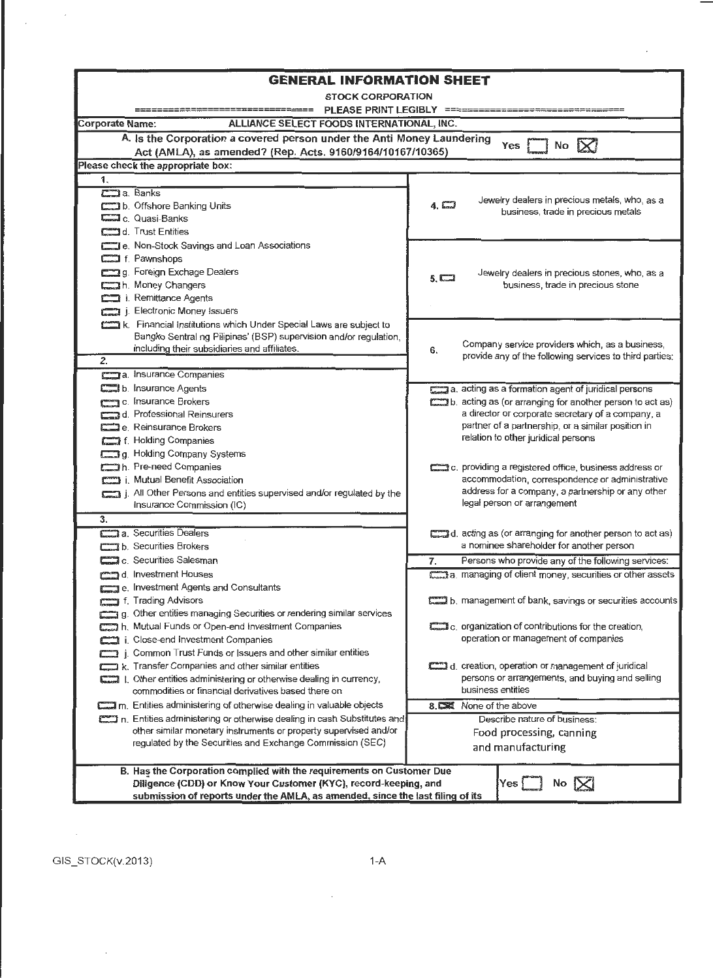| <b>GENERAL INFORMATION SHEET</b>                                                                                       |                                                                                                          |  |  |  |  |  |  |  |  |
|------------------------------------------------------------------------------------------------------------------------|----------------------------------------------------------------------------------------------------------|--|--|--|--|--|--|--|--|
| <b>STOCK CORPORATION</b>                                                                                               |                                                                                                          |  |  |  |  |  |  |  |  |
|                                                                                                                        | PLEASE PRINT LEGIBLY ==============================                                                      |  |  |  |  |  |  |  |  |
| ALLIANCE SELECT FOODS INTERNATIONAL, INC.<br><b>Corporate Name:</b>                                                    |                                                                                                          |  |  |  |  |  |  |  |  |
| A. Is the Corporation a covered person under the Anti Money Laundering                                                 | No $\mathsf{X}$<br>Yes                                                                                   |  |  |  |  |  |  |  |  |
| Act (AMLA), as amended? (Rep. Acts. 9160/9164/10167/10365)<br>Please check the appropriate box:                        |                                                                                                          |  |  |  |  |  |  |  |  |
|                                                                                                                        |                                                                                                          |  |  |  |  |  |  |  |  |
| 1.<br>Coma. Banks                                                                                                      |                                                                                                          |  |  |  |  |  |  |  |  |
| b. Offshore Banking Units                                                                                              | Jewelry dealers in precious metals, who, as a<br>$4. \Box$                                               |  |  |  |  |  |  |  |  |
| Collasi-Banks                                                                                                          | business, trade in precious metals                                                                       |  |  |  |  |  |  |  |  |
| <b>CHI</b> d. Trust Entities                                                                                           |                                                                                                          |  |  |  |  |  |  |  |  |
| e. Non-Stock Savings and Loan Associations                                                                             |                                                                                                          |  |  |  |  |  |  |  |  |
| f. Pawnshops                                                                                                           |                                                                                                          |  |  |  |  |  |  |  |  |
| g. Foreign Exchage Dealers                                                                                             | Jewelry dealers in precious stones, who, as a<br>$5. \Box$                                               |  |  |  |  |  |  |  |  |
| h. Money Changers                                                                                                      | business, trade in precious stone                                                                        |  |  |  |  |  |  |  |  |
| i. Remittance Agents                                                                                                   |                                                                                                          |  |  |  |  |  |  |  |  |
| <b>COLL</b> j. Electronic Money Issuers                                                                                |                                                                                                          |  |  |  |  |  |  |  |  |
| k. Financial Institutions which Under Special Laws are subject to                                                      |                                                                                                          |  |  |  |  |  |  |  |  |
| Bangko Sentral ng Pilipinas' (BSP) supervision and/or regulation,<br>including their subsidiaries and affiliates.      | Company service providers which, as a business,<br>6.                                                    |  |  |  |  |  |  |  |  |
| 2.                                                                                                                     | provide any of the following services to third parties:                                                  |  |  |  |  |  |  |  |  |
| a. Insurance Companies                                                                                                 |                                                                                                          |  |  |  |  |  |  |  |  |
| <b>Com</b> b. Insurance Agents                                                                                         | a. acting as a formation agent of juridical persons                                                      |  |  |  |  |  |  |  |  |
| c. Insurance Brokers                                                                                                   | b. acting as (or arranging for another person to act as)                                                 |  |  |  |  |  |  |  |  |
| can d. Professional Reinsurers                                                                                         | a director or corporate secretary of a company, a                                                        |  |  |  |  |  |  |  |  |
| <b>ETT</b> e. Reinsurance Brokers                                                                                      | partner of a partnership, or a similar position in                                                       |  |  |  |  |  |  |  |  |
| f. Holding Companies                                                                                                   | relation to other juridical persons                                                                      |  |  |  |  |  |  |  |  |
| g. Holding Company Systems                                                                                             |                                                                                                          |  |  |  |  |  |  |  |  |
| h. Pre-need Companies                                                                                                  | c. providing a registered office, business address or<br>accommodation, correspondence or administrative |  |  |  |  |  |  |  |  |
| [773] i. Mutual Benefit Association<br>All Other Persons and entities supervised and/or regulated by the               | address for a company, a partnership or any other                                                        |  |  |  |  |  |  |  |  |
| Insurance Commission (IC)                                                                                              | legal person or arrangement                                                                              |  |  |  |  |  |  |  |  |
| 3.                                                                                                                     |                                                                                                          |  |  |  |  |  |  |  |  |
| calers 3 Securities Dealers                                                                                            | d. acting as (or arranging for another person to act as)                                                 |  |  |  |  |  |  |  |  |
| <b>COLL</b> b. Securities Brokers                                                                                      | a nominee shareholder for another person                                                                 |  |  |  |  |  |  |  |  |
| $\Box$ c. Securities Salesman                                                                                          | Persons who provide any of the following services:<br>7.                                                 |  |  |  |  |  |  |  |  |
| comp d. Investment Houses                                                                                              | a. managing of client money, securities or other assets                                                  |  |  |  |  |  |  |  |  |
| e. Investment Agents and Consultants                                                                                   |                                                                                                          |  |  |  |  |  |  |  |  |
| f. Trading Advisors                                                                                                    | b. management of bank, savings or securities accounts                                                    |  |  |  |  |  |  |  |  |
| g. Other entities managing Securities or rendering similar services                                                    |                                                                                                          |  |  |  |  |  |  |  |  |
| two h. Mutual Funds or Open-end Investment Companies                                                                   | c. organization of contributions for the creation,                                                       |  |  |  |  |  |  |  |  |
| i. Close-end Investment Companies                                                                                      | operation or management of companies                                                                     |  |  |  |  |  |  |  |  |
| $\Box$ j. Common Trust Funds or Issuers and other similar entities<br>k. Transfer Companies and other similar entities | d. creation, operation or management of juridical                                                        |  |  |  |  |  |  |  |  |
| Compared 1. Other entities administering or otherwise dealing in currency,                                             | persons or arrangements, and buying and selling                                                          |  |  |  |  |  |  |  |  |
| commodities or financial derivatives based there on                                                                    | business entities                                                                                        |  |  |  |  |  |  |  |  |
| m. Entities administering of otherwise dealing in valuable objects                                                     | 8. C None of the above                                                                                   |  |  |  |  |  |  |  |  |
| n. Entities administering or otherwise dealing in cash Substitutes and                                                 | Describe nature of business:                                                                             |  |  |  |  |  |  |  |  |
| other similar monetary instruments or property supervised and/or                                                       | Food processing, canning                                                                                 |  |  |  |  |  |  |  |  |
| regulated by the Securities and Exchange Commission (SEC)                                                              | and manufacturing                                                                                        |  |  |  |  |  |  |  |  |
| B. Has the Corporation complied with the requirements on Customer Due                                                  |                                                                                                          |  |  |  |  |  |  |  |  |
| Diligence (CDD) or Know Your Customer (KYC), record-keeping, and                                                       | Yes<br>No $\mathbf{K}$                                                                                   |  |  |  |  |  |  |  |  |
| submission of reports under the AMLA, as amended, since the last filing of its                                         |                                                                                                          |  |  |  |  |  |  |  |  |

 $\cdot$ 

 $\ddot{\phantom{0}}$ 

 $\mathcal{A}$ 

 $\bar{\beta}$ 

 $\overline{\phantom{a}}$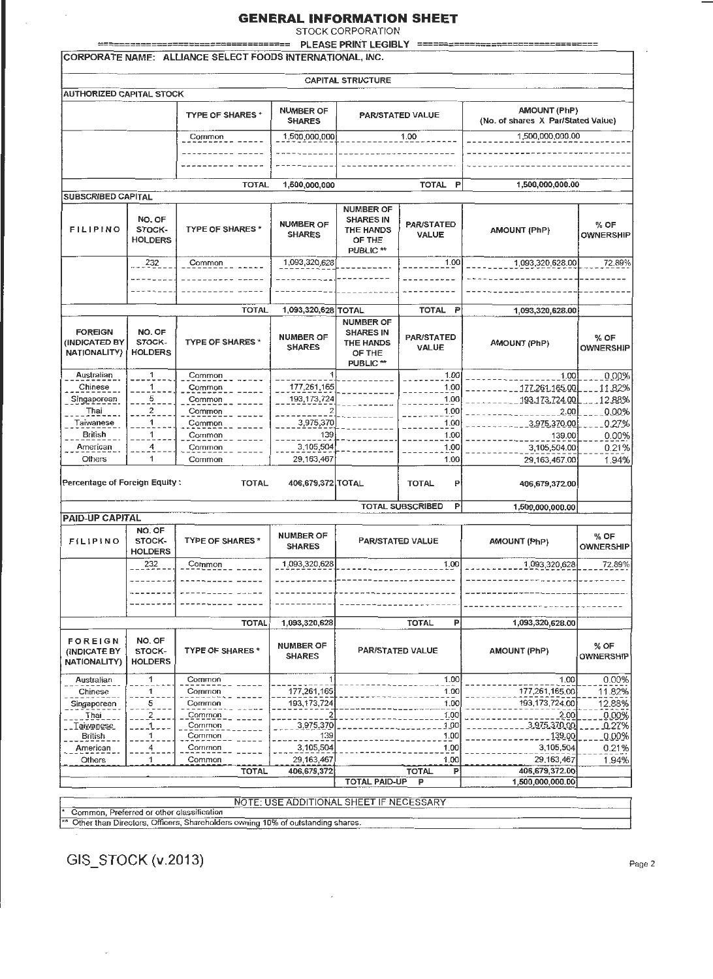STOCK CORPORATION

PLEASE PRINT LEGIBLY  $=$ 

| <b>FLEASE FRINT LEGIDL I</b><br>CORPORATE NAME: ALLIANCE SELECT FOODS INTERNATIONAL, INC. |                                                                                                                                                                                                 |                                                                                |                                         |                                                                                            |                                              |                                                           |                          |  |  |  |  |
|-------------------------------------------------------------------------------------------|-------------------------------------------------------------------------------------------------------------------------------------------------------------------------------------------------|--------------------------------------------------------------------------------|-----------------------------------------|--------------------------------------------------------------------------------------------|----------------------------------------------|-----------------------------------------------------------|--------------------------|--|--|--|--|
| <b>CAPITAL STRUCTURE</b>                                                                  |                                                                                                                                                                                                 |                                                                                |                                         |                                                                                            |                                              |                                                           |                          |  |  |  |  |
| <b>AUTHORIZED CAPITAL STOCK</b>                                                           |                                                                                                                                                                                                 |                                                                                |                                         |                                                                                            |                                              |                                                           |                          |  |  |  |  |
|                                                                                           |                                                                                                                                                                                                 | TYPE OF SHARES *                                                               | <b>NUMBER OF</b><br><b>SHARES</b>       |                                                                                            | PAR/STATED VALUE                             | <b>AMOUNT (PhP)</b><br>(No. of shares X Par/Stated Value) |                          |  |  |  |  |
|                                                                                           |                                                                                                                                                                                                 | Common                                                                         | 1,500,000,000                           |                                                                                            | 1.00                                         | 1,500,000,000.00                                          |                          |  |  |  |  |
|                                                                                           |                                                                                                                                                                                                 |                                                                                |                                         |                                                                                            |                                              |                                                           |                          |  |  |  |  |
|                                                                                           |                                                                                                                                                                                                 | <b>TOTAL</b>                                                                   | 1,500,000,000                           |                                                                                            | <b>TOTAL</b><br>P                            | 1,500,000,000.00                                          |                          |  |  |  |  |
| <b>SUBSCRIBED CAPITAL</b>                                                                 |                                                                                                                                                                                                 |                                                                                |                                         |                                                                                            |                                              |                                                           |                          |  |  |  |  |
| <b>FILIPINO</b>                                                                           | <b>NUMBER OF</b><br>NO. OF<br><b>SHARES IN</b><br><b>NUMBER OF</b><br><b>TYPE OF SHARES*</b><br>STOCK-<br><b>THE HANDS</b><br><b>SHARES</b><br><b>HOLDERS</b><br>OF THE<br>PUBLIC <sup>**</sup> |                                                                                | <b>PAR/STATED</b><br><b>VALUE</b>       | <b>AMOUNT (PhP)</b>                                                                        | $%$ OF<br><b>OWNERSHIP</b>                   |                                                           |                          |  |  |  |  |
|                                                                                           | 232                                                                                                                                                                                             | Common                                                                         | 1,093,320,628                           |                                                                                            | 1.00                                         | 1,093,320,628.00                                          | 72.89%                   |  |  |  |  |
|                                                                                           |                                                                                                                                                                                                 |                                                                                |                                         |                                                                                            |                                              |                                                           |                          |  |  |  |  |
|                                                                                           |                                                                                                                                                                                                 |                                                                                |                                         |                                                                                            |                                              |                                                           |                          |  |  |  |  |
|                                                                                           |                                                                                                                                                                                                 | <b>TOTAL</b>                                                                   | 1,093,320,628 TOTAL                     |                                                                                            | <b>TOTAL</b><br>P                            | 1,093,320,628.00                                          |                          |  |  |  |  |
| <b>FOREIGN</b><br>(INDICATED BY<br><b>NATIONALITY)</b>                                    | NO. OF<br>STOCK-<br><b>HOLDERS</b>                                                                                                                                                              | <b>TYPE OF SHARES *</b>                                                        | <b>NUMBER OF</b><br><b>SHARES</b>       | <b>NUMBER OF</b><br><b>SHARES IN</b><br><b>THE HANDS</b><br>OF THE<br>PUBLIC <sup>**</sup> | <b>PAR/STATED</b><br>VALUE                   | <b>AMOUNT (PhP)</b>                                       | % OF<br><b>OWNERSHIP</b> |  |  |  |  |
| Australian                                                                                | 1                                                                                                                                                                                               | Common                                                                         |                                         |                                                                                            | 1.00                                         | 1.00                                                      | 0.00%                    |  |  |  |  |
| Chinese                                                                                   | 1                                                                                                                                                                                               | Common                                                                         | 177,261,165                             |                                                                                            | 1.00                                         | 177.261.165.00                                            | 11.82%                   |  |  |  |  |
| Singaporean                                                                               | 5                                                                                                                                                                                               | Common                                                                         | 193,173,724                             |                                                                                            | 1.00                                         | 193,173,724.00                                            | 12,88%                   |  |  |  |  |
| Thai                                                                                      | $\overline{\mathbf{c}}$                                                                                                                                                                         | Common                                                                         |                                         |                                                                                            | 1.00                                         | 2.00                                                      | 0.00%                    |  |  |  |  |
| Taiwanese                                                                                 | 1                                                                                                                                                                                               | Common                                                                         | 3,975,370                               |                                                                                            | 1.00                                         | <u>3,975,370.00</u>                                       | 0.27%                    |  |  |  |  |
| <b>British</b>                                                                            | 1                                                                                                                                                                                               | Common                                                                         | 139                                     |                                                                                            | 1.00                                         | 139.00                                                    | 0.00%                    |  |  |  |  |
| American<br>Others                                                                        | 4<br>1                                                                                                                                                                                          | Common<br>Common                                                               | 3,105,504<br>29, 163, 467               |                                                                                            | 1.00<br>1.00                                 | 3,105,504.00<br>29,163,467.00                             | 0.21%<br>1.94%           |  |  |  |  |
| Percentage of Foreign Equity:                                                             |                                                                                                                                                                                                 | <b>TOTAL</b>                                                                   | 406,679,372 TOTAL                       |                                                                                            | <b>TOTAL</b><br>P<br><b>TOTAL SUBSCRIBED</b> | 406,679,372.00                                            |                          |  |  |  |  |
| <b>PAID-UP CAPITAL</b>                                                                    |                                                                                                                                                                                                 |                                                                                |                                         |                                                                                            | P.                                           | 1,500,000,000.00                                          |                          |  |  |  |  |
|                                                                                           | NO. OF                                                                                                                                                                                          |                                                                                |                                         |                                                                                            |                                              |                                                           |                          |  |  |  |  |
| FILIPINO                                                                                  | STOCK-<br><b>HOLDERS</b>                                                                                                                                                                        | <b>TYPE OF SHARES*</b>                                                         | <b>NUMBER OF</b><br><b>SHARES</b>       | <b>PAR/STATED VALUE</b>                                                                    |                                              | AMOUNT (PhP)                                              | % OF<br><b>OWNERSHIP</b> |  |  |  |  |
|                                                                                           | 232                                                                                                                                                                                             | Common                                                                         | 1,093,320,628                           |                                                                                            | 1.00                                         | 1,093,320,628                                             | 72.89%                   |  |  |  |  |
|                                                                                           |                                                                                                                                                                                                 |                                                                                |                                         |                                                                                            |                                              |                                                           |                          |  |  |  |  |
|                                                                                           |                                                                                                                                                                                                 |                                                                                |                                         |                                                                                            |                                              |                                                           |                          |  |  |  |  |
|                                                                                           |                                                                                                                                                                                                 | <b>TOTAL</b>                                                                   | 1,093,320,628                           |                                                                                            | <b>TOTAL</b><br>P                            | 1,093,320,628.00                                          |                          |  |  |  |  |
| <b>FOREIGN</b><br>(INDICATE BY<br><b>NATIONALITY)</b>                                     | NO. OF<br>STOCK-<br><b>HOLDERS</b>                                                                                                                                                              | <b>TYPE OF SHARES*</b>                                                         | <b>NUMBER OF</b><br><b>SHARES</b>       | PAR/STATED VALUE                                                                           |                                              | <b>AMOUNT (PhP)</b>                                       | % OF<br><b>OWNERSHIP</b> |  |  |  |  |
| Australian                                                                                | 1                                                                                                                                                                                               | Common                                                                         |                                         |                                                                                            | 1.00                                         | 1.00                                                      | 0.00%                    |  |  |  |  |
| Chinese                                                                                   | 1                                                                                                                                                                                               | Common                                                                         | 177,261,165                             |                                                                                            | 1.00                                         | 177,261,165.00                                            | 11.82%                   |  |  |  |  |
| Singaporean                                                                               | 5                                                                                                                                                                                               | Common                                                                         | 193,173,724                             | 1.00                                                                                       |                                              | 193, 173, 724.00                                          | 12.88%                   |  |  |  |  |
| Thai<br><u>Taivanese </u>                                                                 |                                                                                                                                                                                                 | Common<br>Common                                                               | 3,975,370                               |                                                                                            | 1.00<br>1.00                                 | 2.00<br>3,975,370,00                                      | 0.00%<br><u>0.27%</u>    |  |  |  |  |
| British                                                                                   |                                                                                                                                                                                                 | Common                                                                         | 139                                     |                                                                                            | 1.00                                         | 139.00                                                    | $0.00\%$                 |  |  |  |  |
| American                                                                                  |                                                                                                                                                                                                 | Common                                                                         | 3,105,504                               |                                                                                            | 1.00                                         | 3,105,504                                                 | 0.21%                    |  |  |  |  |
| <b>Others</b>                                                                             | 1                                                                                                                                                                                               | Common                                                                         | 29, 163, 467                            |                                                                                            | 1.00                                         | 29, 163, 467                                              | 1.94%                    |  |  |  |  |
|                                                                                           |                                                                                                                                                                                                 | <b>TOTAL</b>                                                                   | 406,679,372                             |                                                                                            | <b>TOTAL</b><br>P                            | 406,679,372.00                                            |                          |  |  |  |  |
|                                                                                           |                                                                                                                                                                                                 |                                                                                |                                         | <b>TOTAL PAID-UP</b>                                                                       | P                                            | 1,500,000,000.00                                          |                          |  |  |  |  |
|                                                                                           |                                                                                                                                                                                                 |                                                                                | NOTE: USE ADDITIONAL SHEET IF NECESSARY |                                                                                            |                                              |                                                           |                          |  |  |  |  |
| Common, Preferred or other classification                                                 |                                                                                                                                                                                                 |                                                                                |                                         |                                                                                            |                                              |                                                           |                          |  |  |  |  |
|                                                                                           |                                                                                                                                                                                                 | Other than Directors, Officers, Shareholders owning 10% of outstanding shares. |                                         |                                                                                            |                                              |                                                           |                          |  |  |  |  |

 $\overline{\phantom{a}}$ 

\*\* Other than Directors, Officers, Shareholders owning 10% of outstanding shares.

GIS\_STOCK (v.2013)

 $\sim$ 

 $\bar{z}$ 

Page 2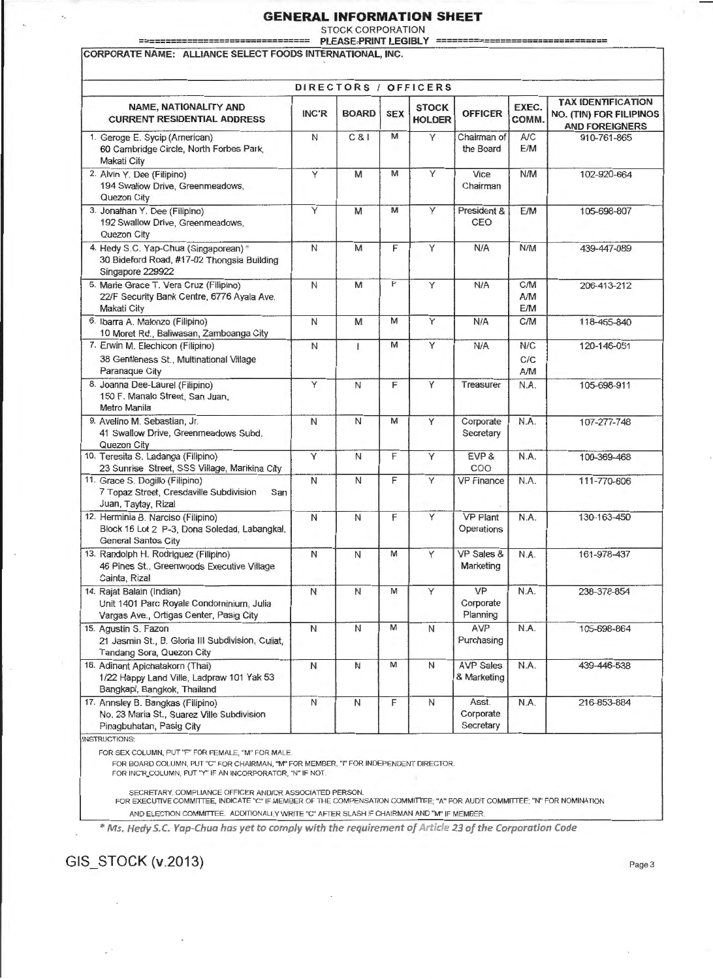STOCK CORPORATION

=============================== PLEASE·PRINT LEGIBLY ========================== =====

CORPORATE NAME: ALLIANCE SELECT FOODS INTERNATIONAL, INC.

|                                                                                                                  |              |                     |            |                               |                                 |                          | <b>TAX IDENTIFICATION</b>                               |
|------------------------------------------------------------------------------------------------------------------|--------------|---------------------|------------|-------------------------------|---------------------------------|--------------------------|---------------------------------------------------------|
| NAME, NATIONALITY AND<br><b>CURRENT RESIDENTIAL ADDRESS</b>                                                      | INC'R        | <b>BOARD</b>        | <b>SEX</b> | <b>STOCK</b><br><b>HOLDER</b> | <b>OFFICER</b>                  | EXEC.<br>COMM.           | <b>NO. (TIN) FOR FILIPINOS</b><br><b>AND FOREIGNERS</b> |
| 1. Geroge E. Sycip (American)<br>60 Cambridge Circle, North Forbes Park,<br>Makati City                          | N            | C81                 | M          | Y                             | Chairman of<br>the Board        | A/C<br>E/M               | 910-761-865                                             |
| 2. Alvin Y. Dee (Filipino)<br>194 Swallow Drive, Greenmeadows,<br>Quezon City                                    | Y            | M                   | M          | Υ                             | Vice<br>Chairman                | N/M                      | 102-920-664                                             |
| 3. Jonathan Y. Dee (Filipino)<br>192 Swallow Drive, Greenmeadows,<br>Quezon City                                 | Y            | M                   | M          | Y                             | President &<br>CEO              | <b>E/M</b>               | 105-698-807                                             |
| 4. Hedy S.C. Yap-Chua (Singaporean)*<br>30 Bideford Road, #17-02 Thongsia Building<br>Singapore 229922           | $\mathsf N$  | M                   | F          | Y                             | N/A                             | N/M                      | 439-447-089                                             |
| 5. Marie Grace T. Vera Cruz (Filipino)<br>22/F Security Bank Centre, 6776 Ayala Ave.<br>Makati City              | $\mathsf{N}$ | M                   | F          | Ÿ                             | N/A                             | <b>C/M</b><br>A/M<br>E/M | 206-413-212                                             |
| 6. Ibarra A. Malonzo (Filipino)<br>10 Moret Rd., Baliwasan, Zamboanga City                                       | N            | M                   | М          | Y                             | N/A                             | C/M                      | 118-455-840                                             |
| 7. Erwin M. Elechicon (Filipino)<br>38 Gentleness St., Multinational Village<br>Paranaque City                   | N            | $\mathbf{I}$        | M          | Y                             | N/A                             | N/C<br>C/C<br>A/M        | 120-146-051                                             |
| 8. Joanna Dee-Laurel (Filipino)<br>150 F. Manalo Street, San Juan,<br>Metro Manila                               | Y            | $\mathsf{N}$        | F          | Y                             | Treasurer                       | N.A.                     | 105-698-911                                             |
| 9. Avelino M. Sebastian, Jr.<br>41 Swallow Drive, Greenmeadows Subd.<br>Quezon City                              | N            | N                   | M          | Y                             | Corporate<br>Secretary          | N.A.                     | 107-277-748                                             |
| 10. Teresita S. Ladanga (Filipino)<br>23 Sunrise Street, SSS Village, Marikina City                              | Υ            | N                   | F          | Υ                             | EVP &<br>COO                    | N.A.                     | 100-369-468                                             |
| 11. Grace S. Dogillo (Filipino)<br>7 Topaz Street, Cresdaville Subdivision<br>San<br>Juan, Taytay, Rizal         | $\mathsf{N}$ | N                   | F          | Y                             | <b>VP Finance</b>               | N.A.                     | 111-770-606                                             |
| 12. Herminia B. Narciso (Filipino)<br>Block 16 Lot 2 P-3, Dona Soledad, Labangkal,<br>General Santos City        | Ν            | N                   | F          | Υ                             | <b>VP Plant</b><br>Operations   | N.A.                     | 130-163-450                                             |
| 13. Randolph H. Rodriguez (Filipino)<br>46 Pines St., Greenwoods Executive Village<br>Cainta, Rizal              | N            | $\mathsf{N}$        | M          | Y                             | VP Sales &<br>Marketing         | N.A.                     | 161-978-437                                             |
| 14. Rajat Balain (Indian)<br>Unit 1401 Parc Royale Condominium, Julia<br>Vargas Ave., Ortigas Center, Pasig City | ${\sf N}$    | $\mathsf{N}\xspace$ | M          | Y                             | VP<br>Corporate<br>Planning     | N.A.                     | 238-378-854                                             |
| 15. Agustin S. Fazon<br>21 Jasmin St., B. Gloria III Subdivision, Culiat,<br>Tandang Sora, Quezon City           | N            | $\mathsf{N}$        | M          | N                             | AVP<br>Purchasing               | N.A.                     | 105-698-864                                             |
| 16. Adinant Apichatakorn (Thai)<br>1/22 Happy Land Ville, Ladpraw 101 Yak 53<br>Bangkapi, Bangkok, Thailand      | Ν            | $\mathsf{N}$        | м          | Ν                             | <b>AVP Sales</b><br>& Marketing | N.A.                     | 439-446-538                                             |
| 17. Annsley B. Bangkas (Filipino)<br>No. 23 Maria St., Suarez Ville Subdivision<br>Pinagbuhatan, Pasig City      | $\mathsf N$  | $\overline{N}$      | F          | N                             | Asst.<br>Corporate<br>Secretary | N.A.                     | 216-853-884                                             |

OR FEMALE,

FOR BOARD COLUMN, PUT "C" FOR CHAIRMAN, "M" FOR MEMBER, "I" FOR INDEPENDENT DIRECTOR. FOR INC'R.COLUMN, PUT "Y" IF AN INCORPORATOR, "N" IF NOT.

SECRETARY, COMPLIANCE OFFICER AND/OR ASSOCIATED PERSON.<br>FOR EXECUTIVE COMMITTEE, INDICATE "C" IF MEMBER OF THE COMPENSATION COMMITTEE; "A" FOR AUDIT COMMITTEE; "N" FOR NOMINATION AND ELECTION COMMITTEE. ADDITIONALLY WRITE "C" AFTER SLASH IF CHAIRMAN AND "M" IF MEMBER.

\* Ms. Hedy S.C. Yap-Chua has yet to comply with the requirement of Article 23 of the Corporation Code

GIS\_STOCK (v.2013) Page 3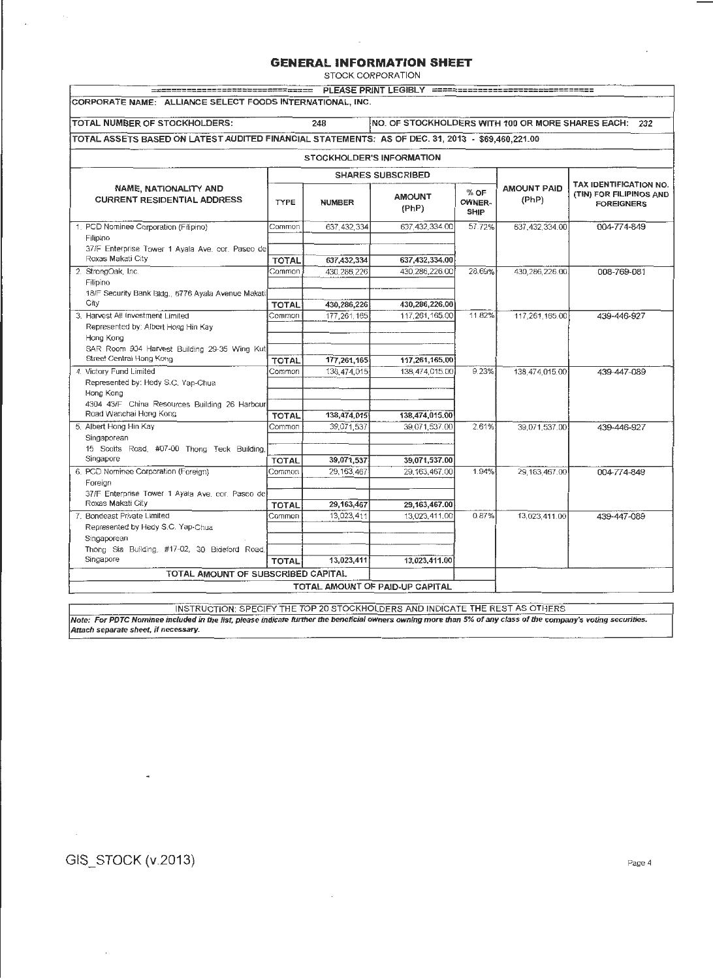STOCK CORPORATION

| CORPORATE NAME: ALLIANCE SELECT FOODS INTERNATIONAL, INC.                                        |                              |               |                                 |                               |                             |                                                                        |  |  |  |
|--------------------------------------------------------------------------------------------------|------------------------------|---------------|---------------------------------|-------------------------------|-----------------------------|------------------------------------------------------------------------|--|--|--|
| TOTAL NUMBER OF STOCKHOLDERS:                                                                    |                              | 248           |                                 |                               |                             | NO. OF STOCKHOLDERS WITH 100 OR MORE SHARES EACH: 232                  |  |  |  |
| TOTAL ASSETS BASED ON LATEST AUDITED FINANCIAL STATEMENTS: AS OF DEC. 31, 2013 - \$69,460,221.00 |                              |               |                                 |                               |                             |                                                                        |  |  |  |
| STOCKHOLDER'S INFORMATION                                                                        |                              |               |                                 |                               |                             |                                                                        |  |  |  |
|                                                                                                  |                              |               | <b>SHARES SUBSCRIBED</b>        |                               |                             |                                                                        |  |  |  |
| NAME, NATIONALITY AND<br><b>CURRENT RESIDENTIAL ADDRESS</b>                                      | <b>TYPE</b><br><b>NUMBER</b> |               | <b>AMOUNT</b><br>(PhP)          | % OF<br>OWNER-<br><b>SHIP</b> | <b>AMOUNT PAID</b><br>(PhP) | TAX IDENTIFICATION NO.<br>(TIN) FOR FILIPINOS AND<br><b>FOREIGNERS</b> |  |  |  |
| 1. PCD Nominee Corporation (Filipino)                                                            | Common                       | 637, 432, 334 | 637, 432, 334.00                | 57.72%                        | 637,432,334.00              | 004-774-849                                                            |  |  |  |
| Filipino                                                                                         |                              |               |                                 |                               |                             |                                                                        |  |  |  |
| 37/F Enterprise Tower 1 Ayala Ave. cor. Paseo de<br>Roxas Makati City                            | <b>TOTAL</b>                 | 637,432,334   | 637,432,334.00                  |                               |                             |                                                                        |  |  |  |
| 2. StrongOak, Inc.                                                                               | Common                       | 430.286,226   | 430.286.226.00                  | 28.69%                        | 430,286,226.00              | 008-769-081                                                            |  |  |  |
| Filipino                                                                                         |                              |               |                                 |                               |                             |                                                                        |  |  |  |
| 18/F Security Bank Bldg., 6776 Ayala Avenue Makati                                               |                              |               |                                 |                               |                             |                                                                        |  |  |  |
| City                                                                                             | <b>TOTAL</b>                 | 430,286,226   | 430,286,226.00                  |                               |                             |                                                                        |  |  |  |
| 3. Harvest All Investment Limited                                                                | Common                       | 177,261,165   | 117,261,165.00                  | 11.82%                        | 117,261,165.00              | 439-446-927                                                            |  |  |  |
| Represented by: Albert Hong Hin Kay                                                              |                              |               |                                 |                               |                             |                                                                        |  |  |  |
| Hong Kong<br>SAR Room 904 Harvest Building 29-35 Wing Kut                                        |                              |               |                                 |                               |                             |                                                                        |  |  |  |
| Street Central Hong Kong                                                                         | TOTAL                        | 177,261,165   | 117,261,165,00                  |                               |                             |                                                                        |  |  |  |
| 4. Victory Fund Limited                                                                          | Common                       | 138,474,015   | 138,474,015.00                  | 9.23%                         | 138,474,015.00              | 439-447-089                                                            |  |  |  |
| Represented by: Hedy S.C. Yap-Chua                                                               |                              |               |                                 |                               |                             |                                                                        |  |  |  |
| Hong Kong                                                                                        |                              |               |                                 |                               |                             |                                                                        |  |  |  |
| 4304 43/F China Resources Building 26 Harbour                                                    |                              |               |                                 |                               |                             |                                                                        |  |  |  |
| Road Wanchai Hong Kong                                                                           | <b>TOTAL</b>                 | 138,474,015   | 138,474,015.00                  |                               |                             |                                                                        |  |  |  |
| 5. Albert Hong Hin Kay                                                                           | Common                       | 39,071,537    | 39,071,537.00                   | 2.61%                         | 39,071,537.00               | 439-446-927                                                            |  |  |  |
| Singaporean<br>15 Scotts Road, #07-00 Thong Teck Building,                                       |                              |               |                                 |                               |                             |                                                                        |  |  |  |
| Singapore                                                                                        | <b>TOTAL</b>                 | 39,071,537    | 39,071,537.00                   |                               |                             |                                                                        |  |  |  |
| 6. PCD Nominee Corporation (Foreign)                                                             | Common                       | 29, 163, 467  | 29.163,467.00                   | 1.94%                         | 29, 163, 467.00             | 004-774-849                                                            |  |  |  |
| Foreign                                                                                          |                              |               |                                 |                               |                             |                                                                        |  |  |  |
| 37/F Enterprise Tower 1 Ayala Ave, cor. Paseo de                                                 |                              |               |                                 |                               |                             |                                                                        |  |  |  |
| Roxas Makati City                                                                                | <b>TOTAL</b>                 | 29, 163, 467  | 29,163,467.00                   |                               |                             |                                                                        |  |  |  |
| 7. Bondeast Private Limited                                                                      | Common                       | 13,023,411    | 13,023,411.00                   | 0.87%                         | 13,023,411.00               | 439-447-089                                                            |  |  |  |
| Represented by Hedy S.C. Yap-Chua                                                                |                              |               |                                 |                               |                             |                                                                        |  |  |  |
| Singaporean                                                                                      |                              |               |                                 |                               |                             |                                                                        |  |  |  |
| Thong Sia Building, #17-02, 30 Bideford Road,<br>Singapore                                       |                              | 13,023,411    |                                 |                               |                             |                                                                        |  |  |  |
|                                                                                                  | <b>TOTAL</b>                 |               | 13,023,411.00                   |                               |                             |                                                                        |  |  |  |
| TOTAL AMOUNT OF SUBSCRIBED CAPITAL                                                               |                              |               |                                 |                               |                             |                                                                        |  |  |  |
|                                                                                                  |                              |               | TOTAL AMOUNT OF PAID-UP CAPITAL |                               |                             |                                                                        |  |  |  |

INSTRUCTION: SPECIFY THE TOP 20 STOCKHOLDERS AND INDICATE THE REST AS OTHERS

Note: For PDTC Nominee included in the list, please indicate further the beneficial owners owning more than 5% of any class of the company's voting securities. Attach separate sheet, if necessary.

 $\cdot$ 

GIS\_STOCK (v.2013) Page 4

 $\mathcal{L}_{\mathcal{A}}$ 

 $\tilde{\phantom{a}}$ 

 $\overline{a}$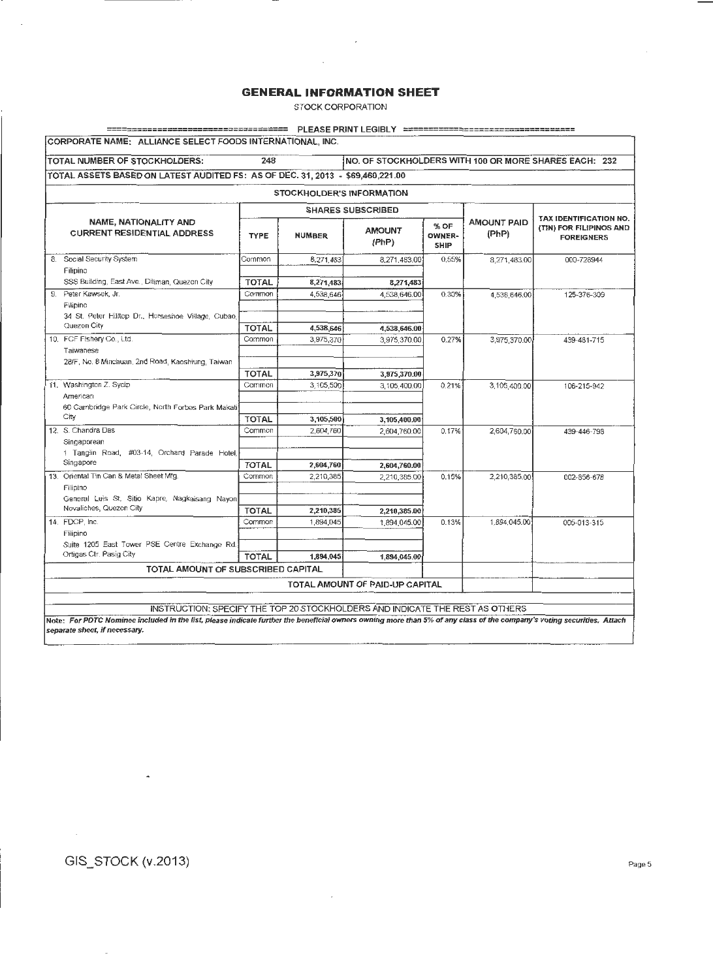$\sim$ 

 $\sim$ 

STOCK CORPORATION

| <b>TOTAL NUMBER OF STOCKHOLDERS:</b>                                           | 248                    |                        |                                  |                               |                             | NO. OF STOCKHOLDERS WITH 100 OR MORE SHARES EACH: 232                         |  |  |  |
|--------------------------------------------------------------------------------|------------------------|------------------------|----------------------------------|-------------------------------|-----------------------------|-------------------------------------------------------------------------------|--|--|--|
| TOTAL ASSETS BASED ON LATEST AUDITED FS: AS OF DEC. 31, 2013 - \$69,460,221.00 |                        |                        |                                  |                               |                             |                                                                               |  |  |  |
|                                                                                |                        |                        | <b>STOCKHOLDER'S INFORMATION</b> |                               |                             |                                                                               |  |  |  |
| <b>SHARES SUBSCRIBED</b>                                                       |                        |                        |                                  |                               |                             |                                                                               |  |  |  |
| <b>NAME, NATIONALITY AND</b><br><b>CURRENT RESIDENTIAL ADDRESS</b>             | <b>TYPE</b>            | <b>NUMBER</b>          | <b>AMOUNT</b><br>(PhP)           | % OF<br>OWNER-<br><b>SHIP</b> | <b>AMOUNT PAID</b><br>(PhP) | <b>TAX IDENTIFICATION NO.</b><br>(TIN) FOR FILIPINOS AND<br><b>FOREIGNERS</b> |  |  |  |
| 8. Social Security System                                                      | Common                 | 8,271,483              | 8,271,483.00                     | 0.55%                         | 8,271,483.00                | 000-728944                                                                    |  |  |  |
| Filipino                                                                       |                        |                        |                                  |                               |                             |                                                                               |  |  |  |
| SSS Building, East Ave., Diliman, Quezon City                                  | <b>TOTAL</b>           | 8,271,483              | 8,271,483                        |                               |                             |                                                                               |  |  |  |
| Peter Kawsek, Jr.<br>9.<br>Filipino                                            | Common                 | 4,538,646              | 4.538.646.00                     | 0.30%                         | 4.538.646.00                | 125-376-309                                                                   |  |  |  |
| 34 St. Peter Hilltop Dr., Horseshoe Village, Cubao,<br>Quezon City             |                        |                        |                                  |                               |                             |                                                                               |  |  |  |
| 10. FCF Fishery Co., Ltd.                                                      | <b>TOTAL</b><br>Common | 4,538,646<br>3.975.370 | 4,538,646.00<br>3,975,370.00     | 0.27%                         |                             |                                                                               |  |  |  |
| Taiwanese                                                                      |                        |                        |                                  |                               | 3,975,370.00                | 439-481-715                                                                   |  |  |  |
| 28/F, No. 8 Minchuan, 2nd Road, Kaoshiung, Taiwan                              |                        |                        |                                  |                               |                             |                                                                               |  |  |  |
|                                                                                | <b>TOTAL</b>           | 3,975,370              | 3,975,370.00                     |                               |                             |                                                                               |  |  |  |
| 11. Washington Z. Sycip                                                        | Common                 | 3.105.500              | 3,105,400.00                     | 0.21%                         | 3,105,400.00                | 106-215-942                                                                   |  |  |  |
| American                                                                       |                        |                        |                                  |                               |                             |                                                                               |  |  |  |
| 60 Cambridge Park Circle, North Forbes Park Makati                             |                        |                        |                                  |                               |                             |                                                                               |  |  |  |
| City                                                                           | <b>TOTAL</b>           | 3,105,500              | 3,105,400.00                     |                               |                             |                                                                               |  |  |  |
| 12. S. Chandra Das                                                             | Common                 | 2.604.760              | 2.604.760.00                     | 0.17%                         | 2,604,760,00                | 439-446-798                                                                   |  |  |  |
| Singaporean                                                                    |                        |                        |                                  |                               |                             |                                                                               |  |  |  |
| 1 Tanglin Road, #03-14, Orchard Parade Hotel,                                  |                        |                        |                                  |                               |                             |                                                                               |  |  |  |
| Singapore                                                                      | <b>TOTAL</b>           | 2,604,760              | 2,604,760.00                     |                               |                             |                                                                               |  |  |  |
| 13. Oriental Tin Can & Metal Sheet Mfg.                                        | Common                 | 2,210,385              | 2,210,385.00                     | 0.15%                         | 2,210,385.00                | 002-856-676                                                                   |  |  |  |
| Filipino<br>General Luis St. Sitio Kapre, Nagkaisang Navon                     |                        |                        |                                  |                               |                             |                                                                               |  |  |  |
| Novaliches, Quezon City                                                        | <b>TOTAL</b>           | 2,210,385              | 2,210,385.00                     |                               |                             |                                                                               |  |  |  |
| 14. FDCP Inc.                                                                  | Common                 | 1,894,045              | 1,894.045.00                     | 0.13%                         | 1.894.045.00                | 005-013-315                                                                   |  |  |  |
| Filipino                                                                       |                        |                        |                                  |                               |                             |                                                                               |  |  |  |
| Suite 1205 East Tower PSE Centre Exchange Rd.                                  |                        |                        |                                  |                               |                             |                                                                               |  |  |  |
| Ortigas Ctr. Pasig City                                                        | <b>TOTAL</b>           | 1,894,045              | 1.894.045.00                     |                               |                             |                                                                               |  |  |  |
| TOTAL AMOUNT OF SUBSCRIBED CAPITAL                                             |                        |                        |                                  |                               |                             |                                                                               |  |  |  |
|                                                                                |                        |                        | TOTAL AMOUNT OF PAID-UP CAPITAL  |                               |                             |                                                                               |  |  |  |
|                                                                                |                        |                        |                                  |                               |                             |                                                                               |  |  |  |

Note: For PDTC Nominee included in the list, please indicate further the beneficial owners owning more than 5% of any class of the company's voting securities. Attach separate sheet, if necessary.

 $\bar{\mathcal{A}}$ 

GIS\_STOCK (v.2013) Page 5

 $\sim$ 

 $\mathcal{L}_{\mathcal{A}}$ 

 $\overline{\phantom{a}}$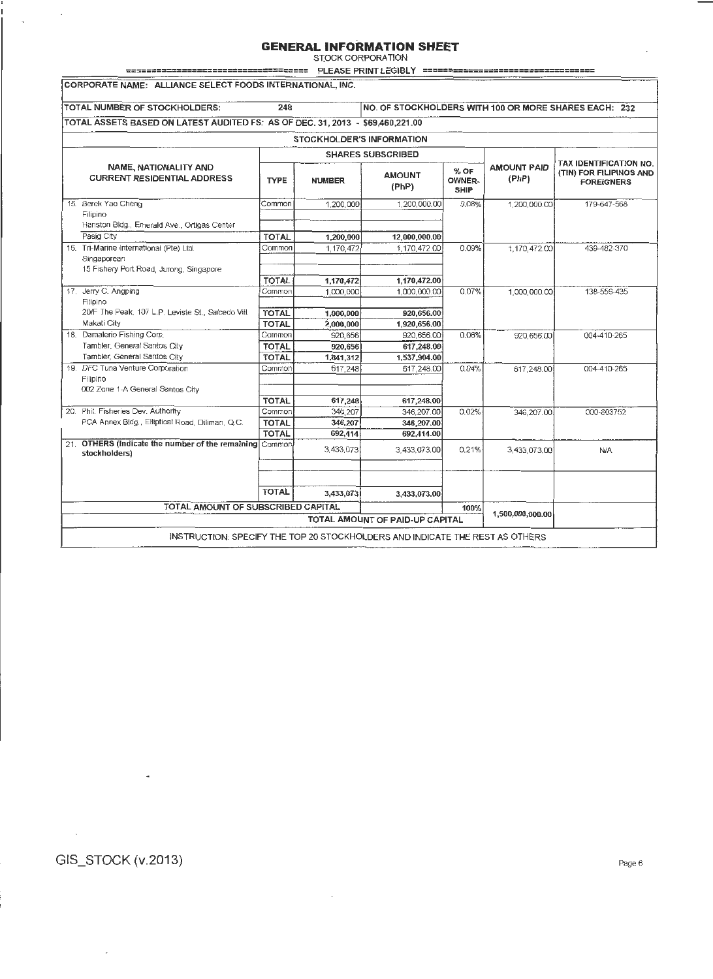ST.OCK CORPORATION

|                                                                                | =============                |                           | PLEASE PRINT LEGIBLY ==============                            |       |                             |                                                                               |  |  |  |
|--------------------------------------------------------------------------------|------------------------------|---------------------------|----------------------------------------------------------------|-------|-----------------------------|-------------------------------------------------------------------------------|--|--|--|
| CORPORATE NAME: ALLIANCE SELECT FOODS INTERNATIONAL, INC.                      |                              |                           |                                                                |       |                             |                                                                               |  |  |  |
| TOTAL NUMBER OF STOCKHOLDERS:                                                  | 248                          |                           |                                                                |       |                             | NO. OF STOCKHOLDERS WITH 100 OR MORE SHARES EACH: 232                         |  |  |  |
|                                                                                |                              |                           |                                                                |       |                             |                                                                               |  |  |  |
| TOTAL ASSETS BASED ON LATEST AUDITED FS: AS OF DEC. 31, 2013 - \$69,460,221.00 |                              |                           |                                                                |       |                             |                                                                               |  |  |  |
|                                                                                |                              | STOCKHOLDER'S INFORMATION |                                                                |       |                             |                                                                               |  |  |  |
| <b>SHARES SUBSCRIBED</b>                                                       |                              |                           |                                                                |       |                             |                                                                               |  |  |  |
| NAME, NATIONALITY AND<br><b>CURRENT RESIDENTIAL ADDRESS</b>                    | <b>TYPE</b><br><b>NUMBER</b> |                           | % OF<br><b>AMOUNT</b><br><b>OWNER-</b><br>(PhP)<br><b>SHIP</b> |       | <b>AMOUNT PAID</b><br>(PhP) | <b>TAX IDENTIFICATION NO.</b><br>(TIN) FOR FILIPINOS AND<br><b>FOREIGNERS</b> |  |  |  |
| 15. Berck Yao Cheng                                                            | Common                       | 1,200,000                 | 1,200,000.00                                                   | 0.08% | 1,200,000.00                | 179-647-568                                                                   |  |  |  |
| Filipino                                                                       |                              |                           |                                                                |       |                             |                                                                               |  |  |  |
| Hanston Bldg., Emerald Ave., Ortigas Center                                    |                              |                           |                                                                |       |                             |                                                                               |  |  |  |
| Pasig City                                                                     | TOTAL                        | 1,200,000                 | 12,000,000.00                                                  |       |                             |                                                                               |  |  |  |
| 16. Tri-Marine International (Pte) Ltd.                                        | Common                       | 1,170,472                 | 1,170,472.00                                                   | 0.09% | 1,170,472.00                | 439-482-370                                                                   |  |  |  |
| Singaporean                                                                    |                              |                           |                                                                |       |                             |                                                                               |  |  |  |
| 15 Fishery Port Road, Jurong, Singapore                                        |                              |                           |                                                                |       |                             |                                                                               |  |  |  |
| 17. Jerry C. Angping                                                           | <b>TOTAL</b><br>Common       | 1,170,472<br>1,000,000    | 1.170,472.00<br>1,000,000.00                                   | 0.07% | 1,000,000.00                | 138-556-435                                                                   |  |  |  |
| Filipino                                                                       |                              |                           |                                                                |       |                             |                                                                               |  |  |  |
| 20/F The Peak, 107 L.P. Leviste St., Salcedo Vill.                             | <b>TOTAL</b>                 | 1,000,000                 | 920,656.00                                                     |       |                             |                                                                               |  |  |  |
| Makati City                                                                    | <b>TOTAL</b>                 | 2,000,000                 | 1,920,656.00                                                   |       |                             |                                                                               |  |  |  |
| 18. Damalerio Fishing Corp.                                                    | Common                       | 920,656                   | 920,656.00                                                     | 0.06% | 920.656.00                  | 004-410-265                                                                   |  |  |  |
| Tambler, General Santos City                                                   | <b>TOTAL</b>                 | 920,656                   | 617.248.00                                                     |       |                             |                                                                               |  |  |  |
| Tambler, General Santos City                                                   | <b>TOTAL</b>                 | 1,841,312                 | 1,537,904.00                                                   |       |                             |                                                                               |  |  |  |
| 19. DFC Tuna Venture Corporation                                               | Common                       | 617,248                   | 617.248.00                                                     | 0.04% | 617,248.00                  | 004-410-265                                                                   |  |  |  |
| Filipino                                                                       |                              |                           |                                                                |       |                             |                                                                               |  |  |  |
| 002 Zone 1-A General Santos City                                               |                              |                           |                                                                |       |                             |                                                                               |  |  |  |
| 20. Phil. Fisheries Dev. Authority                                             | <b>TOTAL</b>                 | 617,248                   | 617,248.00                                                     |       |                             |                                                                               |  |  |  |
| PCA Annex Bidg., Elliptical Road, Diliman, Q.C.                                | Common                       | 346,207<br>346,207        | 346,207.00                                                     | 0.02% | 346.207.00                  | 000-803752                                                                    |  |  |  |
|                                                                                | <b>TOTAL</b><br><b>TOTAL</b> | 692,414                   | 346,207.00<br>692,414.00                                       |       |                             |                                                                               |  |  |  |
| 21. OTHERS (Indicate the number of the remaining Common                        |                              |                           |                                                                |       |                             |                                                                               |  |  |  |
| stockholders)                                                                  |                              | 3,433,073                 | 3,433,073.00                                                   | 0.21% | 3,433,073.00                | N/A                                                                           |  |  |  |
|                                                                                |                              |                           |                                                                |       |                             |                                                                               |  |  |  |
|                                                                                |                              |                           |                                                                |       |                             |                                                                               |  |  |  |
|                                                                                | <b>TOTAL</b>                 | 3,433,073                 | 3,433,073.00                                                   |       |                             |                                                                               |  |  |  |
|                                                                                |                              |                           |                                                                |       |                             |                                                                               |  |  |  |
| TOTAL AMOUNT OF SUBSCRIBED CAPITAL                                             |                              |                           |                                                                | 100%  | 1,500,000,000.00            |                                                                               |  |  |  |
|                                                                                |                              |                           | TOTAL AMOUNT OF PAID-UP CAPITAL                                |       |                             |                                                                               |  |  |  |
| INSTRUCTION: SPECIFY THE TOP 20 STOCKHOLDERS AND INDICATE THE REST AS OTHERS   |                              |                           |                                                                |       |                             |                                                                               |  |  |  |
|                                                                                |                              |                           |                                                                |       |                             |                                                                               |  |  |  |

## GIS\_STOCK (v.2013) Page 6

 $\overline{\phantom{a}}$ 

 $\mathcal{L}_{\mathcal{A}}$ 

 $\mathcal{A}$ 

 $\sim$   $\sim$ 

 $\overline{a}$ 

 $\overline{\phantom{a}}$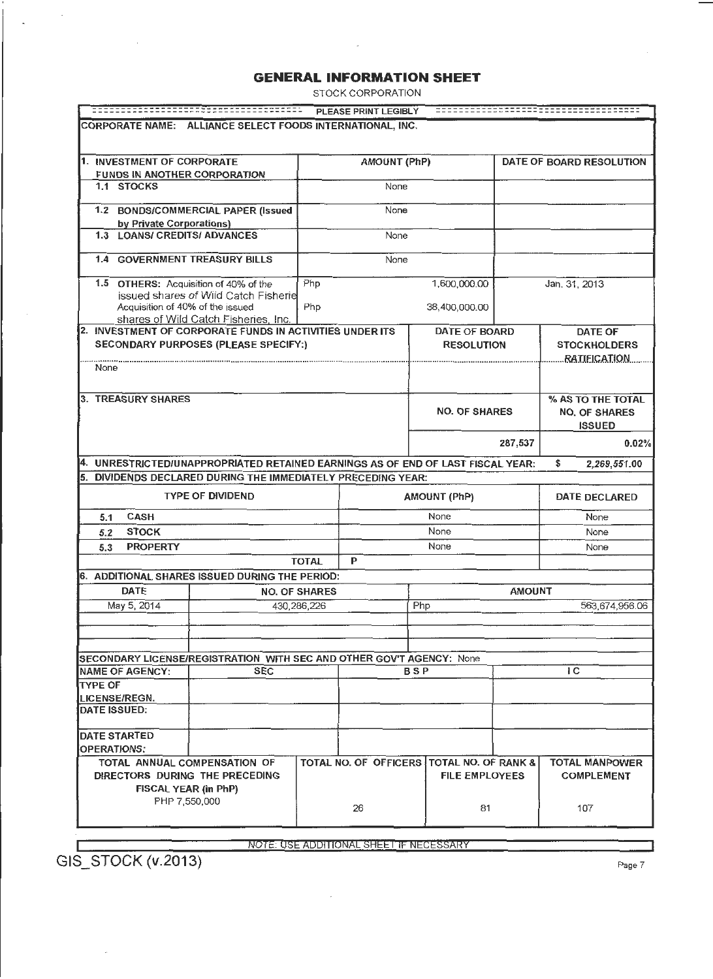STOCK CORPORATION

 $\sim$ 

|                                                                                 | ==============                                                                                     |                      | PLEASE PRINT LEGIBLY                    |                       |                                    |                   | ------------------                                         |
|---------------------------------------------------------------------------------|----------------------------------------------------------------------------------------------------|----------------------|-----------------------------------------|-----------------------|------------------------------------|-------------------|------------------------------------------------------------|
| CORPORATE NAME: ALLIANCE SELECT FOODS INTERNATIONAL, INC.                       |                                                                                                    |                      |                                         |                       |                                    |                   |                                                            |
|                                                                                 |                                                                                                    |                      |                                         |                       |                                    |                   |                                                            |
| 1. INVESTMENT OF CORPORATE                                                      |                                                                                                    |                      | <b>AMOUNT (PhP)</b>                     |                       |                                    |                   | DATE OF BOARD RESOLUTION                                   |
| <b>FUNDS IN ANOTHER CORPORATION</b>                                             |                                                                                                    |                      |                                         |                       |                                    |                   |                                                            |
| 1.1 STOCKS                                                                      |                                                                                                    |                      | None                                    |                       |                                    |                   |                                                            |
|                                                                                 | 1.2 BONDS/COMMERCIAL PAPER (Issued                                                                 |                      | None                                    |                       |                                    |                   |                                                            |
| by Private Corporations)<br>1.3 LOANS/ CREDITS/ ADVANCES                        |                                                                                                    |                      | None                                    |                       |                                    |                   |                                                            |
| <b>1.4 GOVERNMENT TREASURY BILLS</b>                                            |                                                                                                    |                      | None                                    |                       |                                    |                   |                                                            |
| 1.5 OTHERS: Acquisition of 40% of the                                           | issued shares of Wild Catch Fisherie                                                               | Php                  |                                         |                       | 1,600,000.00                       |                   | Jan. 31, 2013                                              |
| Acquisition of 40% of the issued                                                | shares of Wild Catch Fisheries, Inc.                                                               | Php                  |                                         |                       | 38,400,000.00                      |                   |                                                            |
| 2. INVESTMENT OF CORPORATE FUNDS IN ACTIVITIES UNDER ITS                        | <b>SECONDARY PURPOSES (PLEASE SPECIFY:)</b>                                                        |                      |                                         |                       | DATE OF BOARD<br><b>RESOLUTION</b> |                   | DATE OF<br><b>STOCKHOLDERS</b><br><b>RATIFICATION</b>      |
| None                                                                            |                                                                                                    |                      |                                         |                       |                                    |                   |                                                            |
| 3. TREASURY SHARES                                                              |                                                                                                    |                      |                                         |                       | <b>NO. OF SHARES</b>               |                   | % AS TO THE TOTAL<br><b>NO. OF SHARES</b><br><b>ISSUED</b> |
|                                                                                 |                                                                                                    |                      |                                         | 287,537               |                                    |                   | 0.02%                                                      |
| 4. UNRESTRICTED/UNAPPROPRIATED RETAINED EARNINGS AS OF END OF LAST FISCAL YEAR: |                                                                                                    |                      |                                         |                       |                                    |                   | \$<br>2,269,551.00                                         |
| 5. DIVIDENDS DECLARED DURING THE IMMEDIATELY PRECEDING YEAR:                    |                                                                                                    |                      |                                         |                       |                                    |                   |                                                            |
|                                                                                 | <b>TYPE OF DIVIDEND</b>                                                                            |                      |                                         |                       | <b>AMOUNT (PhP)</b>                |                   | <b>DATE DECLARED</b>                                       |
| <b>CASH</b><br>5.1                                                              |                                                                                                    |                      |                                         |                       | None                               |                   | None                                                       |
| <b>STOCK</b><br>5.2                                                             |                                                                                                    |                      |                                         |                       | None                               | None              |                                                            |
| <b>PROPERTY</b><br>5.3                                                          |                                                                                                    |                      |                                         |                       | None                               | None              |                                                            |
|                                                                                 |                                                                                                    | <b>TOTAL</b>         | P                                       |                       |                                    |                   |                                                            |
| 6. ADDITIONAL SHARES ISSUED DURING THE PERIOD:                                  |                                                                                                    |                      |                                         |                       |                                    | <b>AMOUNT</b>     |                                                            |
| <b>DATE</b>                                                                     |                                                                                                    | <b>NO. OF SHARES</b> |                                         | 563,674,956.06<br>Php |                                    |                   |                                                            |
| May 5, 2014                                                                     |                                                                                                    | 430,286,226          |                                         |                       |                                    |                   |                                                            |
|                                                                                 |                                                                                                    |                      |                                         |                       |                                    |                   |                                                            |
| SECONDARY LICENSE/REGISTRATION WITH SEC AND OTHER GOV'T AGENCY: None            |                                                                                                    |                      |                                         |                       |                                    |                   |                                                            |
| <b>NAME OF AGENCY:</b>                                                          | <b>SEC</b>                                                                                         |                      |                                         | BSP                   |                                    |                   | 1 <sup>C</sup>                                             |
| TYPE OF                                                                         |                                                                                                    |                      |                                         |                       |                                    |                   |                                                            |
| LICENSE/REGN.                                                                   |                                                                                                    |                      |                                         |                       |                                    |                   |                                                            |
| <b>DATE ISSUED:</b>                                                             |                                                                                                    |                      |                                         |                       |                                    |                   |                                                            |
| <b>DATE STARTED</b><br><b>OPERATIONS:</b>                                       |                                                                                                    |                      |                                         |                       |                                    |                   |                                                            |
|                                                                                 | TOTAL NO. OF OFFICERS TOTAL NO. OF RANK &<br><b>TOTAL MANPOWER</b><br>TOTAL ANNUAL COMPENSATION OF |                      |                                         |                       |                                    |                   |                                                            |
| DIRECTORS DURING THE PRECEDING                                                  |                                                                                                    |                      |                                         | <b>FILE EMPLOYEES</b> |                                    | <b>COMPLEMENT</b> |                                                            |
| <b>FISCAL YEAR (in PhP)</b>                                                     |                                                                                                    |                      |                                         |                       |                                    |                   |                                                            |
| PHP 7,550,000                                                                   |                                                                                                    | 26                   |                                         | 81                    |                                    | 107               |                                                            |
|                                                                                 |                                                                                                    |                      |                                         |                       |                                    |                   |                                                            |
|                                                                                 |                                                                                                    |                      | NOTE: USE ADDITIONAL SHEET IF NECESSARY |                       |                                    |                   |                                                            |

 $\sim$ 

GIS\_STOCK (v.2013) Page 7

 $\sim$ 

 $\mathcal{L}_{\mathcal{A}}$ 

 $\bar{z}$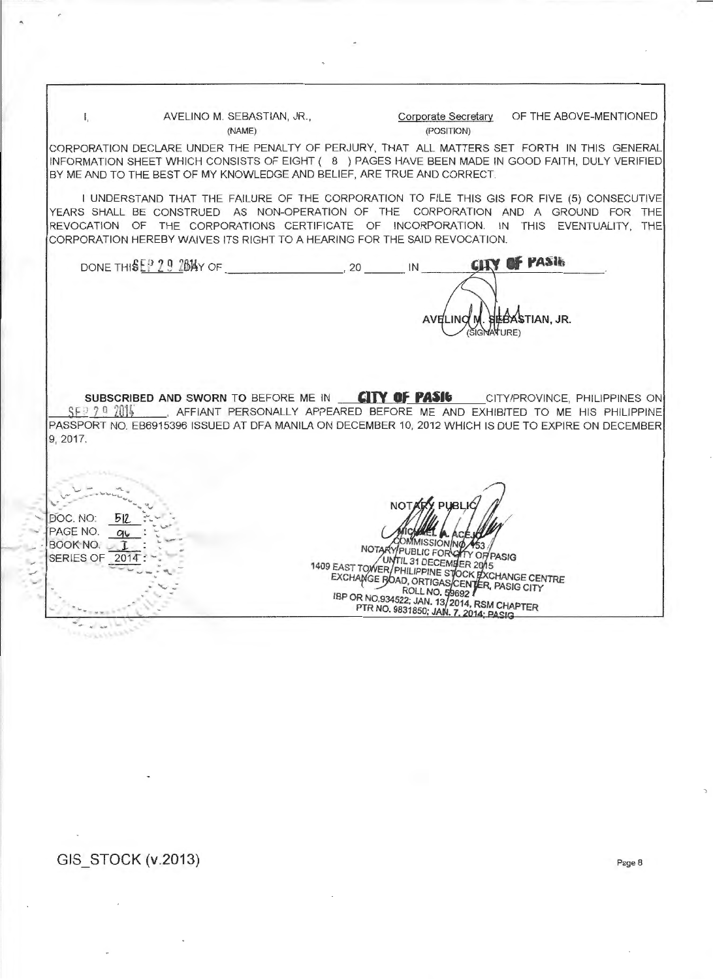I, AVELINO M. SEBASTIAN, JR., Corporate Secretary OF THE ABOVE-MENTIONED (NAME) (POSITION)

**SEBASTIAN, JR.** 

**VATURE** 

CORPORATION DECLARE UNDER THE PENALTY OF PERJURY, THAT ALL MATTERS SET FORTH IN THIS GENERAL INFORMATION SHEET WHICH CONSISTS OF EIGHT ( 8 ) PAGES HAVE BEEN MADE IN GOOD FAITH, DULY VERIFIED BY ME AND TO THE BEST OF MY KNOWLEDGE AND BELIEF, ARE TRUE AND CORRECT.

I UNDERSTAND THAT THE FAILURE OF THE CORPORATION TO FILE THIS GIS FOR FIVE (5) CONSECUTIVE YEARS SHALL BE CONSTRUED AS NON-OPERATION OF THE CORPORATION AND A GROUND FOR THE REVOCATION OF THE CORPORATIONS CERTIFICATE OF INCORPORATION. IN THIS EVENTUALITY, THE CORPORATION HEREBY WAIVES ITS RIGHT TO A HEARING FOR THE SAID REVOCATION.

**GITY OF PASIN** DONE THIS E <sup>2</sup> 9 2 BAY OF 20 IN

SUBSCRIBED AND SWORN TO BEFORE ME IN **CITY OF PASIC** CITY/PROVINCE, PHILIPPINES ON SF.<sup>9</sup> 7 0 2014 . AFFIANT PERSONALLY APPEARED BEFORE ME AND EXHIBITED TO ME HIS PHILIPPINE PASSPORT NO. EB6915396 ISSUED AT DFA MANILA ON DECEMBER 10, 2012 WHICH IS DUE TO EXPIRE ON DECEMBER 9, 2017.

. John Marie 2014  $BOOKNO.$ <sub> $-1$ </sub> SERIES OF 2014 .

**MISSIONNO** 

**AVELINO N** 

NOTARY PUBLIC FORCE NOTARYPUBLIC FOR OTTY OF PASIG<br>
1409 EAST TOWER/PHILIPPINE STOCK BACHARGE CENTRE<br>
EXCHARGE BOAD, ORTIGAS/CENTER, PASIG CITY<br>
IBP OR NO.934522; JAN. 13/2014, RSM CHAPTER<br>
PTR NO. 9831850; JAN. 7, 2014; PASIG

## GIS STOCK (V.2013) Page 8